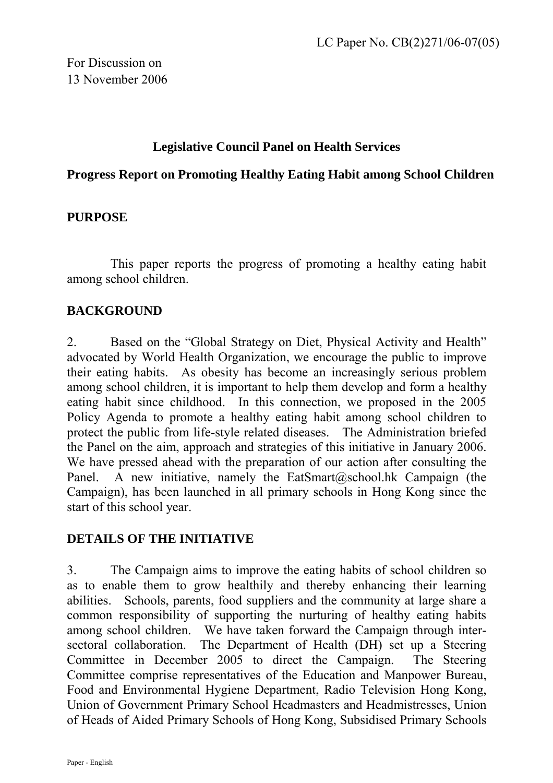### **Legislative Council Panel on Health Services**

#### **Progress Report on Promoting Healthy Eating Habit among School Children**

### **PURPOSE**

This paper reports the progress of promoting a healthy eating habit among school children.

### **BACKGROUND**

2. Based on the "Global Strategy on Diet, Physical Activity and Health" advocated by World Health Organization, we encourage the public to improve their eating habits. As obesity has become an increasingly serious problem among school children, it is important to help them develop and form a healthy eating habit since childhood. In this connection, we proposed in the 2005 Policy Agenda to promote a healthy eating habit among school children to protect the public from life-style related diseases. The Administration briefed the Panel on the aim, approach and strategies of this initiative in January 2006. We have pressed ahead with the preparation of our action after consulting the Panel. A new initiative, namely the EatSmart@school.hk Campaign (the Campaign), has been launched in all primary schools in Hong Kong since the start of this school year.

### **DETAILS OF THE INITIATIVE**

3. The Campaign aims to improve the eating habits of school children so as to enable them to grow healthily and thereby enhancing their learning abilities. Schools, parents, food suppliers and the community at large share a common responsibility of supporting the nurturing of healthy eating habits among school children. We have taken forward the Campaign through intersectoral collaboration. The Department of Health (DH) set up a Steering Committee in December 2005 to direct the Campaign. The Steering Committee comprise representatives of the Education and Manpower Bureau, Food and Environmental Hygiene Department, Radio Television Hong Kong, Union of Government Primary School Headmasters and Headmistresses, Union of Heads of Aided Primary Schools of Hong Kong, Subsidised Primary Schools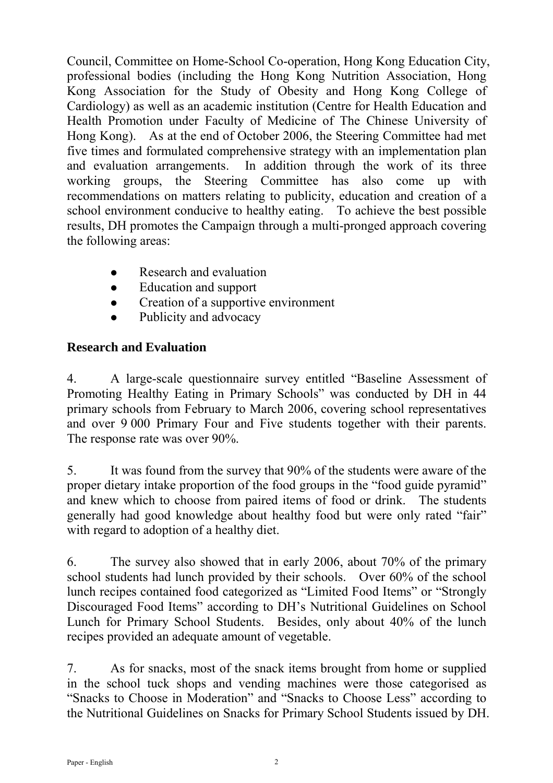Council, Committee on Home-School Co-operation, Hong Kong Education City, professional bodies (including the Hong Kong Nutrition Association, Hong Kong Association for the Study of Obesity and Hong Kong College of Cardiology) as well as an academic institution (Centre for Health Education and Health Promotion under Faculty of Medicine of The Chinese University of Hong Kong). As at the end of October 2006, the Steering Committee had met five times and formulated comprehensive strategy with an implementation plan and evaluation arrangements. In addition through the work of its three working groups, the Steering Committee has also come up with recommendations on matters relating to publicity, education and creation of a school environment conducive to healthy eating. To achieve the best possible results, DH promotes the Campaign through a multi-pronged approach covering the following areas:

- $\bullet$  Research and evaluation
- Education and support
- Creation of a supportive environment
- Publicity and advocacy

# **Research and Evaluation**

4. A large-scale questionnaire survey entitled "Baseline Assessment of Promoting Healthy Eating in Primary Schools" was conducted by DH in 44 primary schools from February to March 2006, covering school representatives and over 9 000 Primary Four and Five students together with their parents. The response rate was over 90%.

5. It was found from the survey that 90% of the students were aware of the proper dietary intake proportion of the food groups in the "food guide pyramid" and knew which to choose from paired items of food or drink. The students generally had good knowledge about healthy food but were only rated "fair" with regard to adoption of a healthy diet.

6. The survey also showed that in early 2006, about 70% of the primary school students had lunch provided by their schools. Over 60% of the school lunch recipes contained food categorized as "Limited Food Items" or "Strongly Discouraged Food Items" according to DH's Nutritional Guidelines on School Lunch for Primary School Students. Besides, only about 40% of the lunch recipes provided an adequate amount of vegetable.

7. As for snacks, most of the snack items brought from home or supplied in the school tuck shops and vending machines were those categorised as "Snacks to Choose in Moderation" and "Snacks to Choose Less" according to the Nutritional Guidelines on Snacks for Primary School Students issued by DH.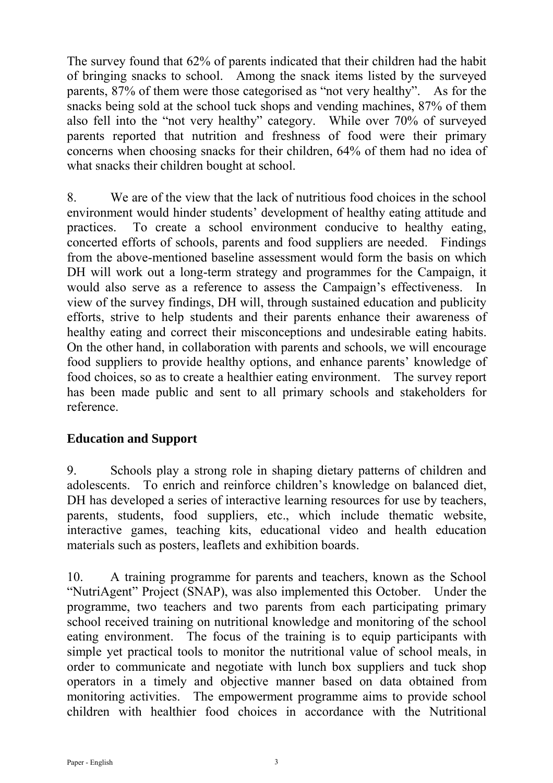The survey found that 62% of parents indicated that their children had the habit of bringing snacks to school. Among the snack items listed by the surveyed parents, 87% of them were those categorised as "not very healthy". As for the snacks being sold at the school tuck shops and vending machines, 87% of them also fell into the "not very healthy" category. While over 70% of surveyed parents reported that nutrition and freshness of food were their primary concerns when choosing snacks for their children, 64% of them had no idea of what snacks their children bought at school.

8. We are of the view that the lack of nutritious food choices in the school environment would hinder students' development of healthy eating attitude and practices. To create a school environment conducive to healthy eating, concerted efforts of schools, parents and food suppliers are needed. Findings from the above-mentioned baseline assessment would form the basis on which DH will work out a long-term strategy and programmes for the Campaign, it would also serve as a reference to assess the Campaign's effectiveness. In view of the survey findings, DH will, through sustained education and publicity efforts, strive to help students and their parents enhance their awareness of healthy eating and correct their misconceptions and undesirable eating habits. On the other hand, in collaboration with parents and schools, we will encourage food suppliers to provide healthy options, and enhance parents' knowledge of food choices, so as to create a healthier eating environment. The survey report has been made public and sent to all primary schools and stakeholders for reference.

# **Education and Support**

9. Schools play a strong role in shaping dietary patterns of children and adolescents. To enrich and reinforce children's knowledge on balanced diet, DH has developed a series of interactive learning resources for use by teachers, parents, students, food suppliers, etc., which include thematic website, interactive games, teaching kits, educational video and health education materials such as posters, leaflets and exhibition boards.

10. A training programme for parents and teachers, known as the School "NutriAgent" Project (SNAP), was also implemented this October. Under the programme, two teachers and two parents from each participating primary school received training on nutritional knowledge and monitoring of the school eating environment. The focus of the training is to equip participants with simple yet practical tools to monitor the nutritional value of school meals, in order to communicate and negotiate with lunch box suppliers and tuck shop operators in a timely and objective manner based on data obtained from monitoring activities. The empowerment programme aims to provide school children with healthier food choices in accordance with the Nutritional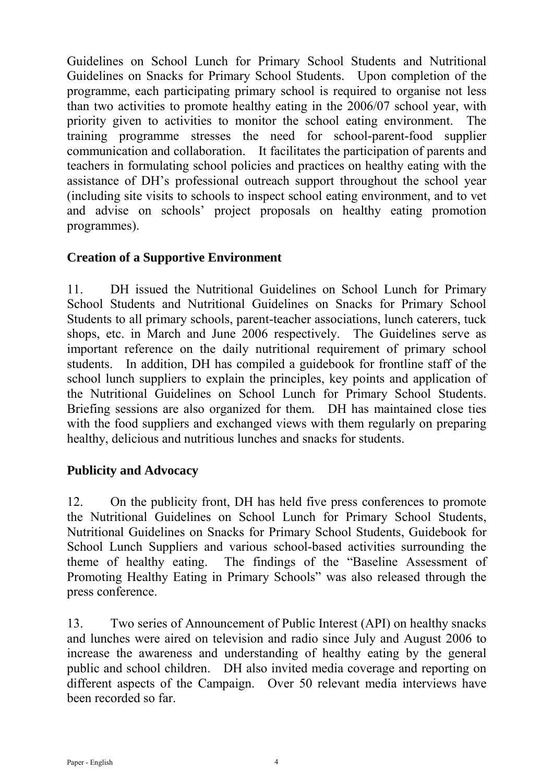Guidelines on School Lunch for Primary School Students and Nutritional Guidelines on Snacks for Primary School Students. Upon completion of the programme, each participating primary school is required to organise not less than two activities to promote healthy eating in the 2006/07 school year, with priority given to activities to monitor the school eating environment. The training programme stresses the need for school-parent-food supplier communication and collaboration. It facilitates the participation of parents and teachers in formulating school policies and practices on healthy eating with the assistance of DH's professional outreach support throughout the school year (including site visits to schools to inspect school eating environment, and to vet and advise on schools' project proposals on healthy eating promotion programmes).

## **Creation of a Supportive Environment**

11. DH issued the Nutritional Guidelines on School Lunch for Primary School Students and Nutritional Guidelines on Snacks for Primary School Students to all primary schools, parent-teacher associations, lunch caterers, tuck shops, etc. in March and June 2006 respectively. The Guidelines serve as important reference on the daily nutritional requirement of primary school students. In addition, DH has compiled a guidebook for frontline staff of the school lunch suppliers to explain the principles, key points and application of the Nutritional Guidelines on School Lunch for Primary School Students. Briefing sessions are also organized for them. DH has maintained close ties with the food suppliers and exchanged views with them regularly on preparing healthy, delicious and nutritious lunches and snacks for students.

## **Publicity and Advocacy**

12. On the publicity front, DH has held five press conferences to promote the Nutritional Guidelines on School Lunch for Primary School Students, Nutritional Guidelines on Snacks for Primary School Students, Guidebook for School Lunch Suppliers and various school-based activities surrounding the theme of healthy eating. The findings of the "Baseline Assessment of Promoting Healthy Eating in Primary Schools" was also released through the press conference.

13. Two series of Announcement of Public Interest (API) on healthy snacks and lunches were aired on television and radio since July and August 2006 to increase the awareness and understanding of healthy eating by the general public and school children. DH also invited media coverage and reporting on different aspects of the Campaign. Over 50 relevant media interviews have been recorded so far.